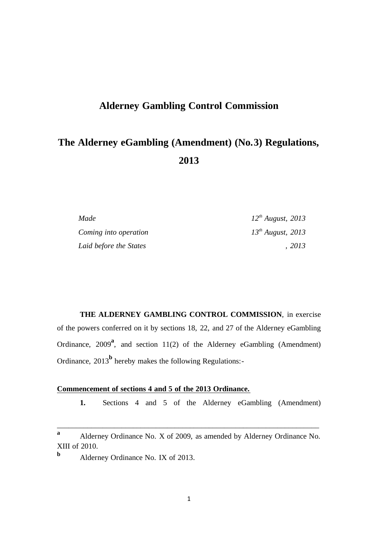# **Alderney Gambling Control Commission**

# **The Alderney eGambling (Amendment) (No.3) Regulations, 2013**

| Made                   | $12^{th}$ August, 2013 |
|------------------------|------------------------|
| Coming into operation  | $13^{th}$ August, 2013 |
| Laid before the States | 2013                   |

**THE ALDERNEY GAMBLING CONTROL COMMISSION**, in exercise of the powers conferred on it by sections 18, 22, and 27 of the Alderney eGambling Ordinance, 2009<sup>a</sup>, and section 11(2) of the Alderney eGambling (Amendment) Ordinance, 2013<sup>b</sup> hereby makes the following Regulations:-

## **Commencement of sections 4 and 5 of the 2013 Ordinance.**

**1.** Sections 4 and 5 of the Alderney eGambling (Amendment)

\_\_\_\_\_\_\_\_\_\_\_\_\_\_\_\_\_\_\_\_\_\_\_\_\_\_\_\_\_\_\_\_\_\_\_\_\_\_\_\_\_\_\_\_\_\_\_\_\_\_\_\_\_\_\_\_\_\_\_\_\_\_\_\_\_\_\_\_\_

**<sup>a</sup>** Alderney Ordinance No. X of 2009, as amended by Alderney Ordinance No. XIII of 2010.

**b** Alderney Ordinance No. IX of 2013.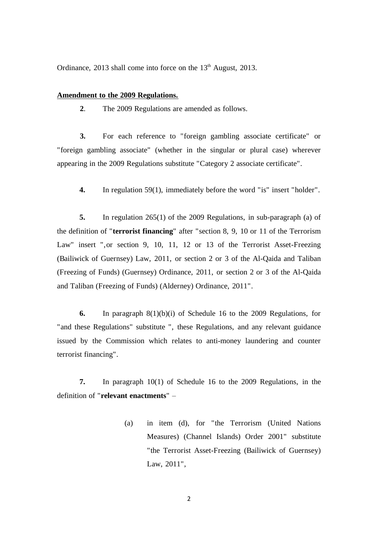Ordinance, 2013 shall come into force on the  $13<sup>th</sup>$  August, 2013.

#### **Amendment to the 2009 Regulations.**

**2**. The 2009 Regulations are amended as follows.

**3.** For each reference to "foreign gambling associate certificate" or "foreign gambling associate" (whether in the singular or plural case) wherever appearing in the 2009 Regulations substitute "Category 2 associate certificate".

**4.** In regulation 59(1), immediately before the word "is" insert "holder".

**5.** In regulation 265(1) of the 2009 Regulations, in sub-paragraph (a) of the definition of "**terrorist financing**" after "section 8, 9, 10 or 11 of the Terrorism Law" insert ",or section 9, 10, 11, 12 or 13 of the Terrorist Asset-Freezing (Bailiwick of Guernsey) Law, 2011, or section 2 or 3 of the Al-Qaida and Taliban (Freezing of Funds) (Guernsey) Ordinance, 2011, or section 2 or 3 of the Al-Qaida and Taliban (Freezing of Funds) (Alderney) Ordinance, 2011".

**6.** In paragraph 8(1)(b)(i) of Schedule 16 to the 2009 Regulations, for "and these Regulations" substitute ", these Regulations, and any relevant guidance issued by the Commission which relates to anti-money laundering and counter terrorist financing".

**7.** In paragraph 10(1) of Schedule 16 to the 2009 Regulations, in the definition of "**relevant enactments**" –

> (a) in item (d), for "the Terrorism (United Nations Measures) (Channel Islands) Order 2001" substitute "the Terrorist Asset-Freezing (Bailiwick of Guernsey) Law, 2011",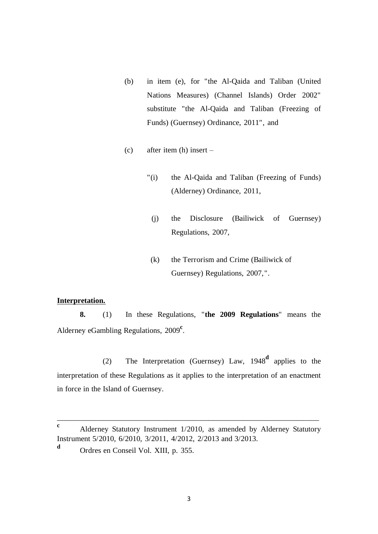- (b) in item (e), for "the Al-Qaida and Taliban (United Nations Measures) (Channel Islands) Order 2002" substitute "the Al-Qaida and Taliban (Freezing of Funds) (Guernsey) Ordinance, 2011", and
- (c) after item (h) insert
	- "(i) the Al-Qaida and Taliban (Freezing of Funds) (Alderney) Ordinance, 2011,
		- (j) the Disclosure (Bailiwick of Guernsey) Regulations, 2007,
	- (k) the Terrorism and Crime (Bailiwick of Guernsey) Regulations, 2007,".

#### **Interpretation.**

**8.** (1) In these Regulations, "**the 2009 Regulations**" means the Alderney eGambling Regulations, 2009<sup>c</sup>.

(2) The Interpretation (Guernsey) Law, 1948**<sup>d</sup>** applies to the interpretation of these Regulations as it applies to the interpretation of an enactment in force in the Island of Guernsey.

\_\_\_\_\_\_\_\_\_\_\_\_\_\_\_\_\_\_\_\_\_\_\_\_\_\_\_\_\_\_\_\_\_\_\_\_\_\_\_\_\_\_\_\_\_\_\_\_\_\_\_\_\_\_\_\_\_\_\_\_\_\_\_\_\_\_\_\_\_

**<sup>c</sup>** Alderney Statutory Instrument 1/2010, as amended by Alderney Statutory Instrument 5/2010, 6/2010, 3/2011, 4/2012, 2/2013 and 3/2013.

**<sup>d</sup>** Ordres en Conseil Vol. XIII, p. 355.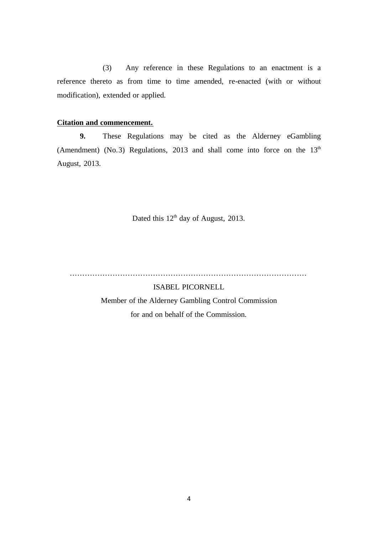(3) Any reference in these Regulations to an enactment is a reference thereto as from time to time amended, re-enacted (with or without modification), extended or applied.

### **Citation and commencement.**

**9.** These Regulations may be cited as the Alderney eGambling (Amendment) (No.3) Regulations, 2013 and shall come into force on the  $13<sup>th</sup>$ August, 2013.

Dated this 12<sup>th</sup> day of August, 2013.

..............................................................................................

ISABEL PICORNELL Member of the Alderney Gambling Control Commission for and on behalf of the Commission.